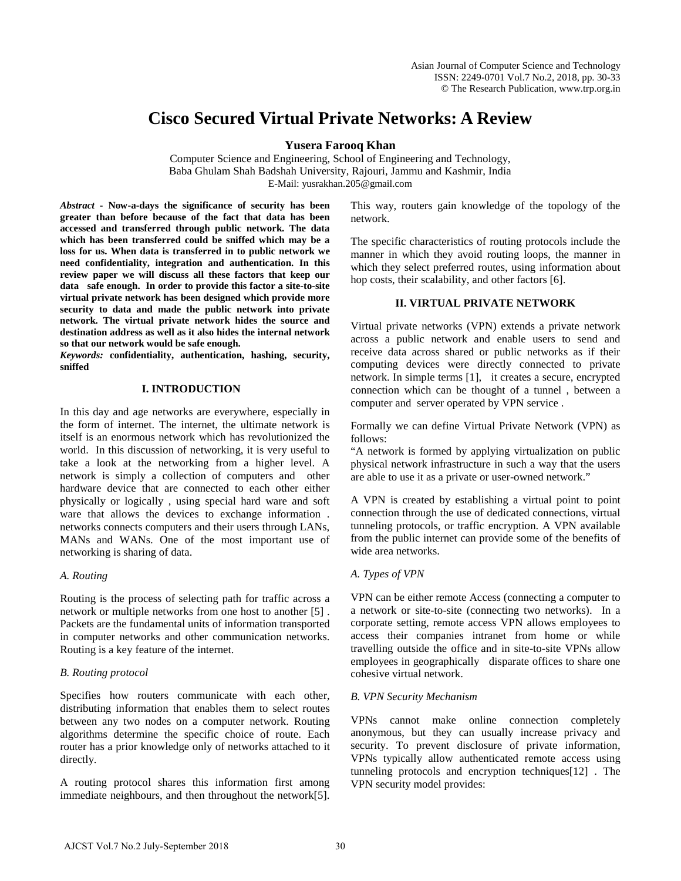# **Cisco Secured Virtual Private Networks: A Review**

**Yusera Farooq Khan**

Computer Science and Engineering, School of Engineering and Technology, Baba Ghulam Shah Badshah University, Rajouri, Jammu and Kashmir, India E-Mail: yusrakhan.205@gmail.com

*Abstract* **- Now-a-days the significance of security has been greater than before because of the fact that data has been accessed and transferred through public network. The data which has been transferred could be sniffed which may be a loss for us. When data is transferred in to public network we need confidentiality, integration and authentication. In this review paper we will discuss all these factors that keep our data safe enough. In order to provide this factor a site-to-site virtual private network has been designed which provide more security to data and made the public network into private network. The virtual private network hides the source and destination address as well as it also hides the internal network so that our network would be safe enough.** 

*Keywords:* **confidentiality, authentication, hashing, security, sniffed** 

## **I. INTRODUCTION**

In this day and age networks are everywhere, especially in the form of internet. The internet, the ultimate network is itself is an enormous network which has revolutionized the world. In this discussion of networking, it is very useful to take a look at the networking from a higher level. A network is simply a collection of computers and other hardware device that are connected to each other either physically or logically , using special hard ware and soft ware that allows the devices to exchange information . networks connects computers and their users through LANs, MANs and WANs. One of the most important use of networking is sharing of data.

## *A. Routing*

Routing is the process of selecting path for traffic across a network or multiple networks from one host to another [5] . Packets are the fundamental units of information transported in computer networks and other communication networks. Routing is a key feature of the internet.

## *B. Routing protocol*

Specifies how routers communicate with each other, distributing information that enables them to select routes between any two nodes on a computer network. Routing algorithms determine the specific choice of route. Each router has a prior knowledge only of networks attached to it directly.

A routing protocol shares this information first among immediate neighbours, and then throughout the network[5]. This way, routers gain knowledge of the topology of the network.

The specific characteristics of routing protocols include the manner in which they avoid routing loops, the manner in which they select preferred routes, using information about hop costs, their scalability, and other factors [6].

## **II. VIRTUAL PRIVATE NETWORK**

Virtual private networks (VPN) extends a private network across a public network and enable users to send and receive data across shared or public networks as if their computing devices were directly connected to private network. In simple terms [1], it creates a secure, encrypted connection which can be thought of a tunnel , between a computer and server operated by VPN service .

Formally we can define Virtual Private Network (VPN) as follows:

"A network is formed by applying virtualization on public physical network infrastructure in such a way that the users are able to use it as a private or user-owned network."

A VPN is created by establishing a virtual point to point connection through the use of dedicated connections, virtual tunneling protocols, or traffic encryption. A VPN available from the public internet can provide some of the benefits of wide area networks.

## *A. Types of VPN*

VPN can be either remote Access (connecting a computer to a network or site-to-site (connecting two networks). In a corporate setting, remote access VPN allows employees to access their companies intranet from home or while travelling outside the office and in site-to-site VPNs allow employees in geographically disparate offices to share one cohesive virtual network.

## *B. VPN Security Mechanism*

VPNs cannot make online connection completely anonymous, but they can usually increase privacy and security. To prevent disclosure of private information, VPNs typically allow authenticated remote access using tunneling protocols and encryption techniques[12] . The VPN security model provides: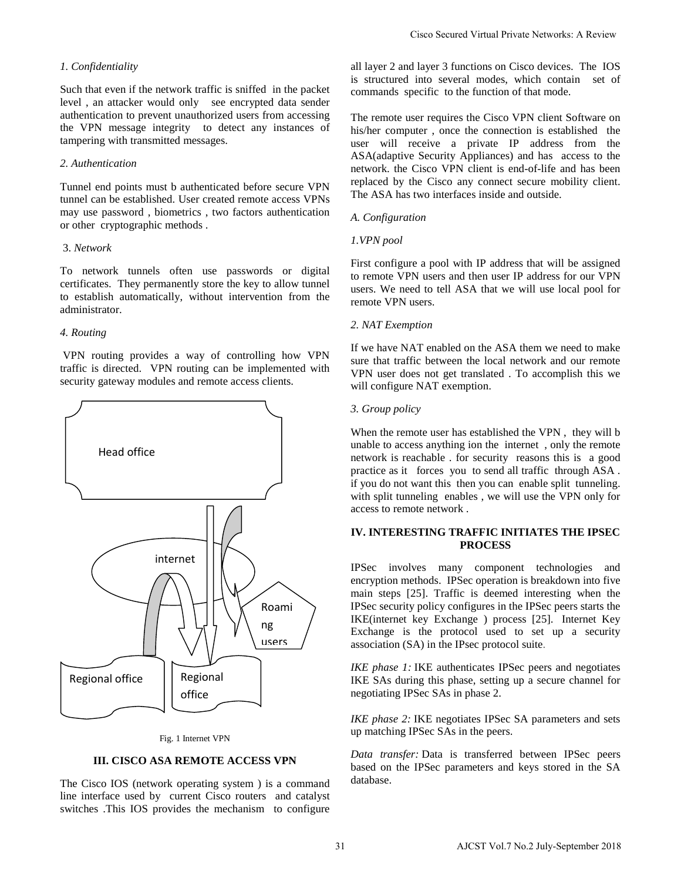### *1. Confidentiality*

Such that even if the network traffic is sniffed in the packet level , an attacker would only see encrypted data sender authentication to prevent unauthorized users from accessing the VPN message integrity to detect any instances of tampering with transmitted messages.

#### *2. Authentication*

Tunnel end points must b authenticated before secure VPN tunnel can be established. User created remote access VPNs may use password , biometrics , two factors authentication or other cryptographic methods .

#### 3. *Network*

To network tunnels often use passwords or digital certificates. They permanently store the key to allow tunnel to establish automatically, without intervention from the administrator.

#### *4. Routing*

VPN routing provides a way of controlling how VPN traffic is directed. VPN routing can be implemented with security gateway modules and remote access clients.



#### Fig. 1 Internet VPN

## **III. CISCO ASA REMOTE ACCESS VPN**

The Cisco IOS (network operating system ) is a command line interface used by current Cisco routers and catalyst switches .This IOS provides the mechanism to configure all layer 2 and layer 3 functions on Cisco devices. The IOS is structured into several modes, which contain set of commands specific to the function of that mode.

The remote user requires the Cisco VPN client Software on his/her computer , once the connection is established the user will receive a private IP address from the ASA(adaptive Security Appliances) and has access to the network. the Cisco VPN client is end-of-life and has been replaced by the Cisco any connect secure mobility client. The ASA has two interfaces inside and outside.

#### *A. Configuration*

#### *1.VPN pool*

First configure a pool with IP address that will be assigned to remote VPN users and then user IP address for our VPN users. We need to tell ASA that we will use local pool for remote VPN users.

#### *2. NAT Exemption*

If we have NAT enabled on the ASA them we need to make sure that traffic between the local network and our remote VPN user does not get translated . To accomplish this we will configure NAT exemption.

## *3. Group policy*

When the remote user has established the VPN , they will b unable to access anything ion the internet , only the remote network is reachable . for security reasons this is a good practice as it forces you to send all traffic through ASA . if you do not want this then you can enable split tunneling. with split tunneling enables , we will use the VPN only for access to remote network . Class Secured Virtual Private Networks: A Review<br>
all layer 2 and layer 3 functions on Cisco nebuces. The 10S<br>
is structured into several modes, which-contain as the<br>
commands specific to the function of that mode.<br>
The r

## **IV. INTERESTING TRAFFIC INITIATES THE IPSEC PROCESS**

IPSec involves many component technologies and encryption methods. IPSec operation is breakdown into five main steps [25]. Traffic is deemed interesting when the IPSec security policy configures in the IPSec peers starts the IKE(internet key Exchange ) process [25]. Internet Key Exchange is the protocol used to set up a security association (SA) in the IPsec protocol suite.

*IKE phase 1:* IKE authenticates IPSec peers and negotiates IKE SAs during this phase, setting up a secure channel for negotiating IPSec SAs in phase 2.

*IKE phase 2:* IKE negotiates IPSec SA parameters and sets up matching IPSec SAs in the peers.

*Data transfer:* Data is transferred between IPSec peers based on the IPSec parameters and keys stored in the SA database.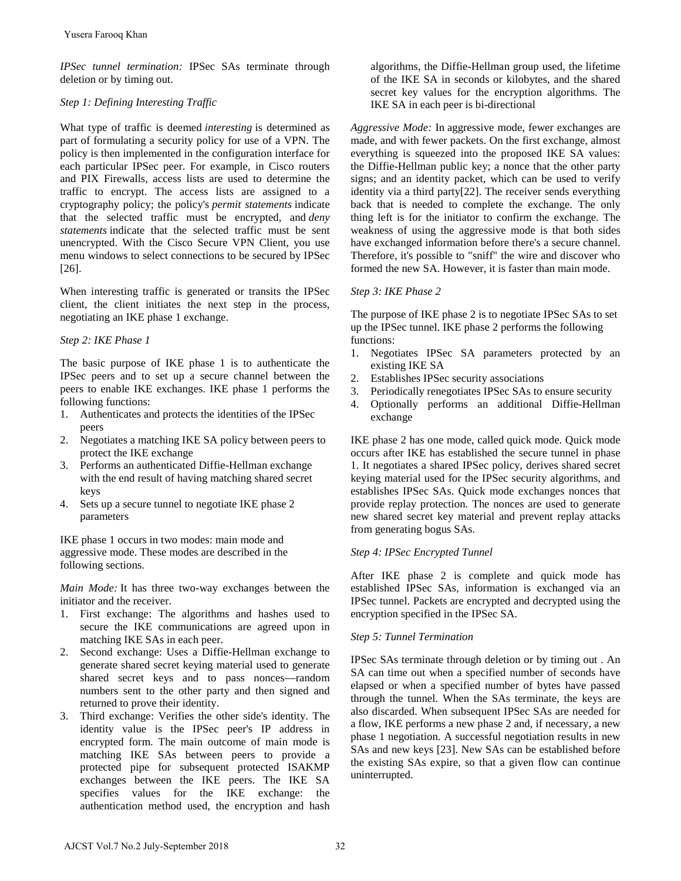*IPSec tunnel termination:* IPSec SAs terminate through deletion or by timing out.

## *Step 1: Defining Interesting Traffic*

What type of traffic is deemed *interesting* is determined as part of formulating a security policy for use of a VPN. The policy is then implemented in the configuration interface for each particular IPSec peer. For example, in Cisco routers and PIX Firewalls, access lists are used to determine the traffic to encrypt. The access lists are assigned to a cryptography policy; the policy's *permit statements* indicate that the selected traffic must be encrypted, and *deny statements* indicate that the selected traffic must be sent unencrypted. With the Cisco Secure VPN Client, you use menu windows to select connections to be secured by IPSec [26]. Yusera Farooq Khan<br>
Yusera Farooq Khan<br> *PSec tunnel termination*: IPSec SAs terminate through<br> *Election of ty timing out.*<br> *Election in the minimatority politically reflection and type of traffic is determined as<br>
and* 

When interesting traffic is generated or transits the IPSec client, the client initiates the next step in the process, negotiating an IKE phase 1 exchange.

# *Step 2: IKE Phase 1*

The basic purpose of IKE phase 1 is to authenticate the IPSec peers and to set up a secure channel between the peers to enable IKE exchanges. IKE phase 1 performs the following functions:

- 1. Authenticates and protects the identities of the IPSec peers
- 2. Negotiates a matching IKE SA policy between peers to protect the IKE exchange
- 3. Performs an authenticated Diffie-Hellman exchange with the end result of having matching shared secret keys
- 4. Sets up a secure tunnel to negotiate IKE phase 2 parameters

IKE phase 1 occurs in two modes: main mode and aggressive mode. These modes are described in the following sections.

*Main Mode:* It has three two-way exchanges between the initiator and the receiver.

- 1. First exchange: The algorithms and hashes used to secure the IKE communications are agreed upon in matching IKE SAs in each peer.
- 2. Second exchange: Uses a Diffie-Hellman exchange to generate shared secret keying material used to generate shared secret keys and to pass nonces—random numbers sent to the other party and then signed and returned to prove their identity.
- 3. Third exchange: Verifies the other side's identity. The identity value is the IPSec peer's IP address in encrypted form. The main outcome of main mode is matching IKE SAs between peers to provide a protected pipe for subsequent protected ISAKMP exchanges between the IKE peers. The IKE SA specifies values for the IKE exchange: the authentication method used, the encryption and hash

algorithms, the Diffie-Hellman group used, the lifetime of the IKE SA in seconds or kilobytes, and the shared secret key values for the encryption algorithms. The IKE SA in each peer is bi-directional

*Aggressive Mode:* In aggressive mode, fewer exchanges are made, and with fewer packets. On the first exchange, almost everything is squeezed into the proposed IKE SA values: the Diffie-Hellman public key; a nonce that the other party signs; and an identity packet, which can be used to verify identity via a third party[22]. The receiver sends everything back that is needed to complete the exchange. The only thing left is for the initiator to confirm the exchange. The weakness of using the aggressive mode is that both sides have exchanged information before there's a secure channel. Therefore, it's possible to "sniff" the wire and discover who formed the new SA. However, it is faster than main mode.

# *Step 3: IKE Phase 2*

The purpose of IKE phase 2 is to negotiate IPSec SAs to set up the IPSec tunnel. IKE phase 2 performs the following functions:

- 1. Negotiates IPSec SA parameters protected by an existing IKE SA
- 2. Establishes IPSec security associations
- 3. Periodically renegotiates IPSec SAs to ensure security
- 4. Optionally performs an additional Diffie-Hellman exchange

IKE phase 2 has one mode, called quick mode. Quick mode occurs after IKE has established the secure tunnel in phase 1. It negotiates a shared IPSec policy, derives shared secret keying material used for the IPSec security algorithms, and establishes IPSec SAs. Quick mode exchanges nonces that provide replay protection. The nonces are used to generate new shared secret key material and prevent replay attacks from generating bogus SAs.

## *Step 4: IPSec Encrypted Tunnel*

After IKE phase 2 is complete and quick mode has established IPSec SAs, information is exchanged via an IPSec tunnel. Packets are encrypted and decrypted using the encryption specified in the IPSec SA.

## *Step 5: Tunnel Termination*

IPSec SAs terminate through deletion or by timing out . An SA can time out when a specified number of seconds have elapsed or when a specified number of bytes have passed through the tunnel. When the SAs terminate, the keys are also discarded. When subsequent IPSec SAs are needed for a flow, IKE performs a new phase 2 and, if necessary, a new phase 1 negotiation. A successful negotiation results in new SAs and new keys [23]. New SAs can be established before the existing SAs expire, so that a given flow can continue uninterrupted.